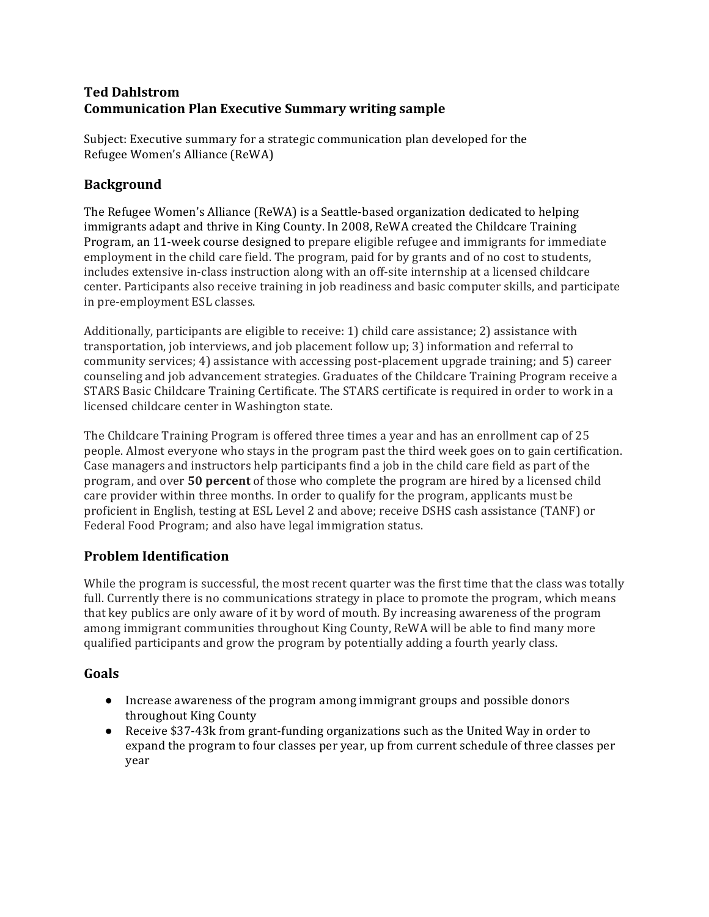### **Ted Dahlstrom Communication Plan Executive Summary writing sample**

Subject: Executive summary for a strategic communication plan developed for the Refugee Women's Alliance (ReWA)

## **Background**

The Refugee Women's Alliance (ReWA) is a Seattle-based organization dedicated to helping immigrants adapt and thrive in King County. In 2008, ReWA created the Childcare Training Program, an 11-week course designed to prepare eligible refugee and immigrants for immediate employment in the child care field. The program, paid for by grants and of no cost to students, includes extensive in-class instruction along with an off-site internship at a licensed childcare center. Participants also receive training in job readiness and basic computer skills, and participate in pre-employment ESL classes.

Additionally, participants are eligible to receive: 1) child care assistance; 2) assistance with transportation, job interviews, and job placement follow up; 3) information and referral to community services; 4) assistance with accessing post-placement upgrade training; and 5) career counseling and job advancement strategies. Graduates of the Childcare Training Program receive a STARS Basic Childcare Training Certificate. The STARS certificate is required in order to work in a licensed childcare center in Washington state.

The Childcare Training Program is offered three times a year and has an enrollment cap of 25 people. Almost everyone who stays in the program past the third week goes on to gain certification. Case managers and instructors help participants find a job in the child care field as part of the program, and over **50 percent** of those who complete the program are hired by a licensed child care provider within three months. In order to qualify for the program, applicants must be proficient in English, testing at ESL Level 2 and above; receive DSHS cash assistance (TANF) or Federal Food Program; and also have legal immigration status.

## **Problem Identification**

While the program is successful, the most recent quarter was the first time that the class was totally full. Currently there is no communications strategy in place to promote the program, which means that key publics are only aware of it by word of mouth. By increasing awareness of the program among immigrant communities throughout King County, ReWA will be able to find many more qualified participants and grow the program by potentially adding a fourth yearly class.

### **Goals**

- Increase awareness of the program among immigrant groups and possible donors throughout King County
- Receive \$37-43k from grant-funding organizations such as the United Way in order to expand the program to four classes per year, up from current schedule of three classes per year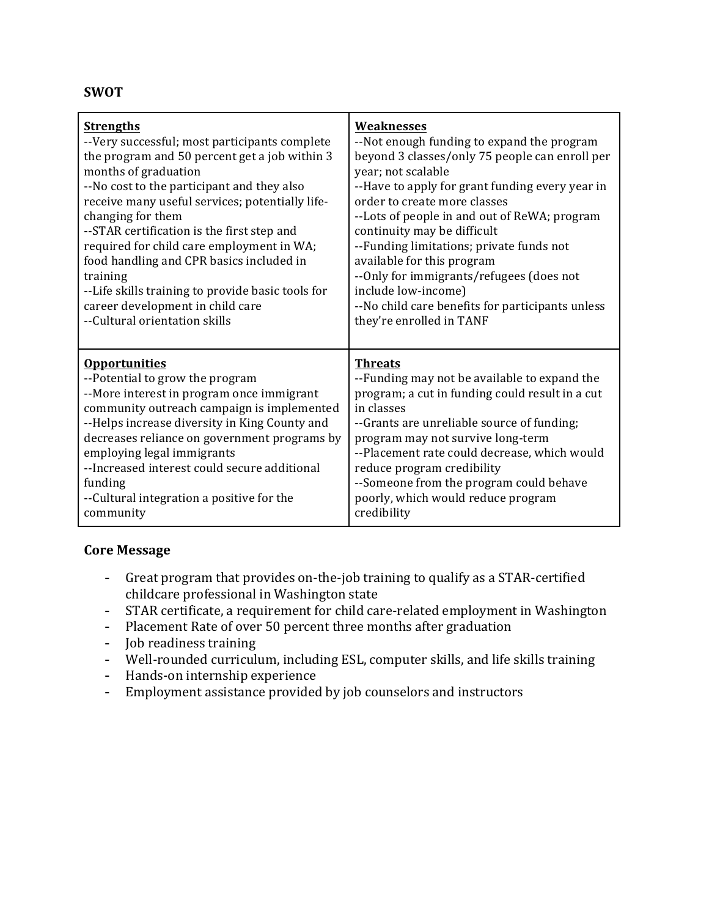#### **SWOT**

| <b>Strengths</b>                                  | Weaknesses                                       |
|---------------------------------------------------|--------------------------------------------------|
| --Very successful; most participants complete     | --Not enough funding to expand the program       |
| the program and 50 percent get a job within 3     | beyond 3 classes/only 75 people can enroll per   |
| months of graduation                              | year; not scalable                               |
| --No cost to the participant and they also        | --Have to apply for grant funding every year in  |
| receive many useful services; potentially life-   | order to create more classes                     |
| changing for them                                 | --Lots of people in and out of ReWA; program     |
| --STAR certification is the first step and        | continuity may be difficult                      |
| required for child care employment in WA;         | --Funding limitations; private funds not         |
| food handling and CPR basics included in          | available for this program                       |
| training                                          | --Only for immigrants/refugees (does not         |
| --Life skills training to provide basic tools for | include low-income)                              |
| career development in child care                  | --No child care benefits for participants unless |
| --Cultural orientation skills                     | they're enrolled in TANF                         |
| <b>Opportunities</b>                              | <b>Threats</b>                                   |
| --Potential to grow the program                   | --Funding may not be available to expand the     |
| --More interest in program once immigrant         | program; a cut in funding could result in a cut  |
| community outreach campaign is implemented        | in classes                                       |
| --Helps increase diversity in King County and     | --Grants are unreliable source of funding;       |
| decreases reliance on government programs by      | program may not survive long-term                |
| employing legal immigrants                        | --Placement rate could decrease, which would     |
| --Increased interest could secure additional      | reduce program credibility                       |
| funding                                           | --Someone from the program could behave          |
| --Cultural integration a positive for the         | poorly, which would reduce program               |
| community                                         | credibility                                      |

#### **Core Message**

- Great program that provides on-the-job training to qualify as a STAR-certified childcare professional in Washington state
- STAR certificate, a requirement for child care-related employment in Washington
- Placement Rate of over 50 percent three months after graduation
- Job readiness training
- Well-rounded curriculum, including ESL, computer skills, and life skills training
- Hands-on internship experience
- Employment assistance provided by job counselors and instructors